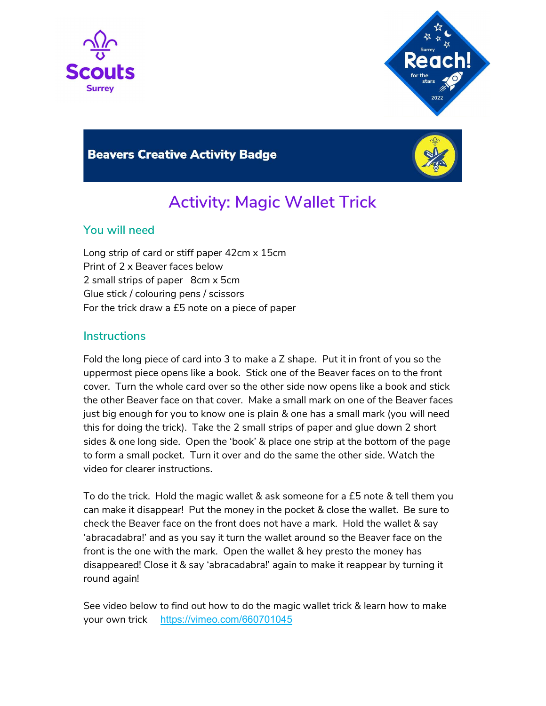



### **Beavers Creative Activity Badge**



# Activity: Magic Wallet Trick

#### You will need

Long strip of card or stiff paper 42cm x 15cm Print of 2 x Beaver faces below 2 small strips of paper 8cm x 5cm Glue stick / colouring pens / scissors For the trick draw a £5 note on a piece of paper

#### **Instructions**

Fold the long piece of card into 3 to make a Z shape. Put it in front of you so the uppermost piece opens like a book. Stick one of the Beaver faces on to the front cover. Turn the whole card over so the other side now opens like a book and stick the other Beaver face on that cover. Make a small mark on one of the Beaver faces just big enough for you to know one is plain & one has a small mark (you will need this for doing the trick). Take the 2 small strips of paper and glue down 2 short sides & one long side. Open the 'book' & place one strip at the bottom of the page to form a small pocket. Turn it over and do the same the other side. Watch the video for clearer instructions.

To do the trick. Hold the magic wallet & ask someone for a £5 note & tell them you can make it disappear! Put the money in the pocket & close the wallet. Be sure to check the Beaver face on the front does not have a mark. Hold the wallet & say 'abracadabra!' and as you say it turn the wallet around so the Beaver face on the front is the one with the mark. Open the wallet & hey presto the money has disappeared! Close it & say 'abracadabra!' again to make it reappear by turning it round again!

See video below to find out how to do the magic wallet trick & learn how to make your own trick https://vimeo.com/660701045